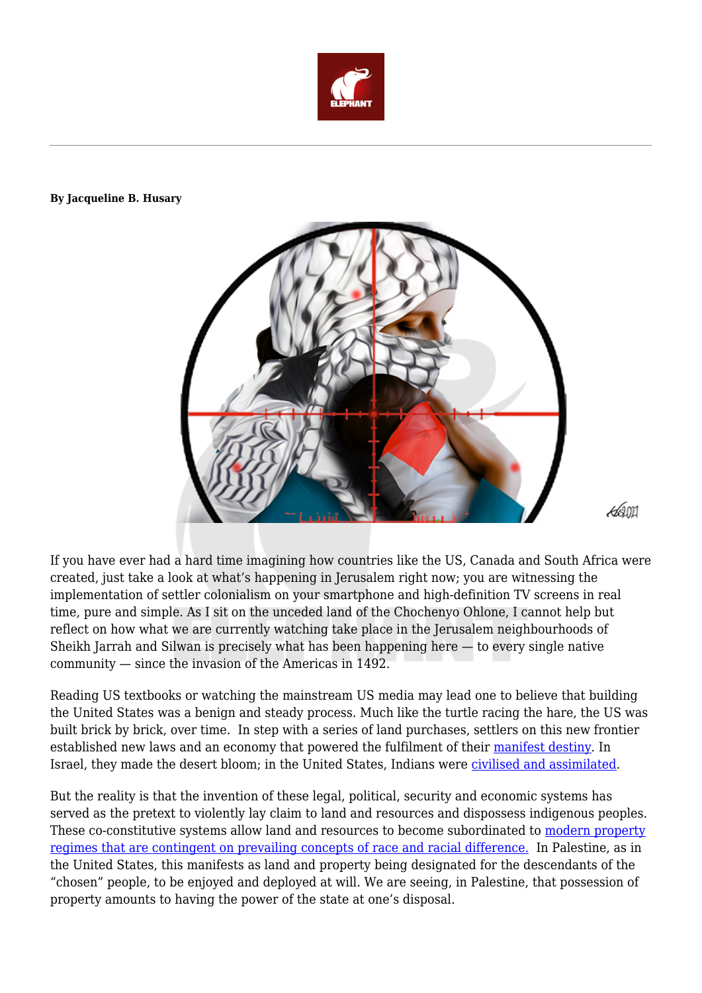

## **By Jacqueline B. Husary**



**462011** 

If you have ever had a hard time imagining how countries like the US, Canada and South Africa were created, just take a look at what's happening in Jerusalem right now; you are witnessing the implementation of settler colonialism on your smartphone and high-definition TV screens in real time, pure and simple. As I sit on the unceded land of the Chochenyo Ohlone, I cannot help but reflect on how what we are currently watching take place in the Jerusalem neighbourhoods of Sheikh Jarrah and Silwan is precisely what has been happening here — to every single native community — since the invasion of the Americas in 1492.

Reading US textbooks or watching the mainstream US media may lead one to believe that building the United States was a benign and steady process. Much like the turtle racing the hare, the US was built brick by brick, over time. In step with a series of land purchases, settlers on this new frontier established new laws and an economy that powered the fulfilment of their [manifest destiny.](https://www2.sjsu.edu/people/marcos.pizarro/courses/240/s0/200SettlerColonialism.pdf) In Israel, they made the desert bloom; in the United States, Indians were *civilised and assimilated*.

But the reality is that the invention of these legal, political, security and economic systems has served as the pretext to violently lay claim to land and resources and dispossess indigenous peoples. These co-constitutive systems allow land and resources to become subordinated to [modern property](https://www.dukeupress.edu/Assets/PubMaterials/978-0-8223-7146-5_601.pdf) [regimes that are contingent on prevailing concepts of race and racial difference.](https://www.dukeupress.edu/Assets/PubMaterials/978-0-8223-7146-5_601.pdf) In Palestine, as in the United States, this manifests as land and property being designated for the descendants of the "chosen" people, to be enjoyed and deployed at will. We are seeing, in Palestine, that possession of property amounts to having the power of the state at one's disposal.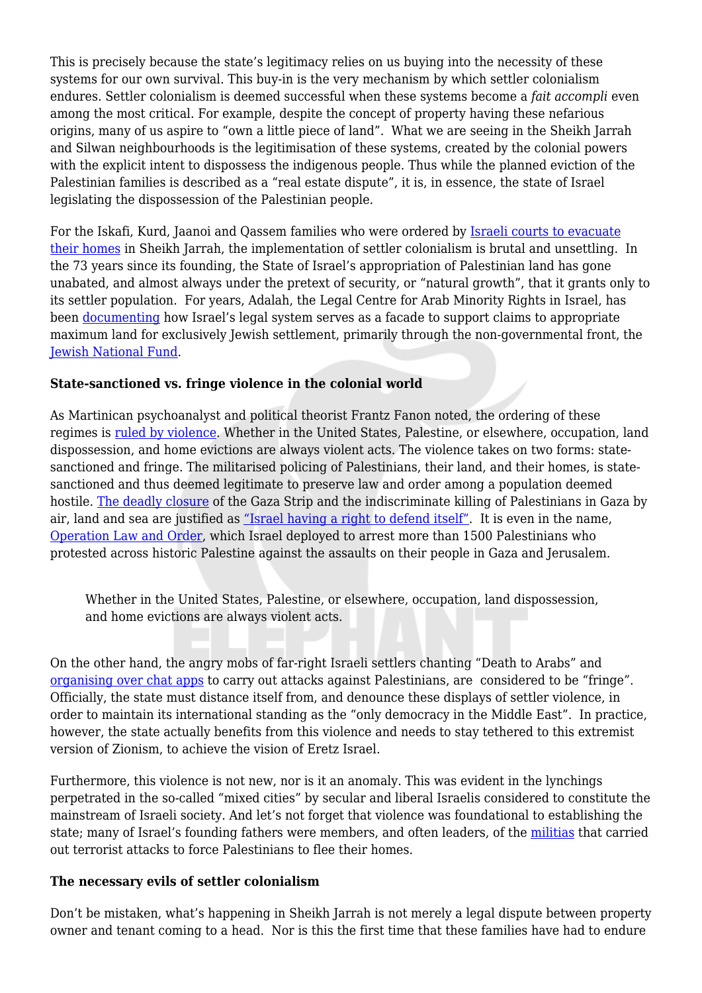This is precisely because the state's legitimacy relies on us buying into the necessity of these systems for our own survival. This buy-in is the very mechanism by which settler colonialism endures. Settler colonialism is deemed successful when these systems become a *fait accompli* even among the most critical. For example, despite the concept of property having these nefarious origins, many of us aspire to "own a little piece of land". What we are seeing in the Sheikh Jarrah and Silwan neighbourhoods is the legitimisation of these systems, created by the colonial powers with the explicit intent to dispossess the indigenous people. Thus while the planned eviction of the Palestinian families is described as a "real estate dispute", it is, in essence, the state of Israel legislating the dispossession of the Palestinian people.

For the Iskafi, Kurd, Jaanoi and Qassem families who were ordered by [Israeli courts to evacuate](https://www.middleeasteye.net/news/israel-palestine-sheikh-jarrah-jerusalem-neighbourhood-eviction-explained) [their homes](https://www.middleeasteye.net/news/israel-palestine-sheikh-jarrah-jerusalem-neighbourhood-eviction-explained) in Sheikh Jarrah, the implementation of settler colonialism is brutal and unsettling. In the 73 years since its founding, the State of Israel's appropriation of Palestinian land has gone unabated, and almost always under the pretext of security, or "natural growth", that it grants only to its settler population. For years, Adalah, the Legal Centre for Arab Minority Rights in Israel, has been [documenting](https://www.adalah.org/en/content/view/7771) how Israel's legal system serves as a facade to support claims to appropriate maximum land for exclusively Jewish settlement, primarily through the non-governmental front, the [Jewish National Fund.](http://www.ijan.org/projects-campaigns/stopthejnf/enduringroots/)

## **State-sanctioned vs. fringe violence in the colonial world**

As Martinican psychoanalyst and political theorist Frantz Fanon noted, the ordering of these regimes is [ruled by violence.](http://www.openanthropology.org/fanonviolence.htm) Whether in the United States, Palestine, or elsewhere, occupation, land dispossession, and home evictions are always violent acts. The violence takes on two forms: statesanctioned and fringe. The militarised policing of Palestinians, their land, and their homes, is statesanctioned and thus deemed legitimate to preserve law and order among a population deemed hostile. [The deadly closure](https://www.aljazeera.com/news/2021/3/14/a-guide-to-the-gaza-strip) of the Gaza Strip and the indiscriminate killing of Palestinians in Gaza by air, land and sea are justified as ["Israel having a right to defend itself".](https://www.aljazeera.com/news/2021/5/12/us-again-urges-de-escalation-israel-strikes-gaza-continue) It is even in the name, [Operation Law and Order,](https://www.aljazeera.com/news/2021/5/24/a-war-declaration-palestinians-in-israel-decry-mass-arrests) which Israel deployed to arrest more than 1500 Palestinians who protested across historic Palestine against the assaults on their people in Gaza and Jerusalem.

Whether in the United States, Palestine, or elsewhere, occupation, land dispossession, and home evictions are always violent acts.

On the other hand, the angry mobs of far-right Israeli settlers chanting "Death to Arabs" and [organising over chat apps](https://www.engadget.com/israel-whatsapp-telegram-174456024.html) to carry out attacks against Palestinians, are considered to be "fringe". Officially, the state must distance itself from, and denounce these displays of settler violence, in order to maintain its international standing as the "only democracy in the Middle East". In practice, however, the state actually benefits from this violence and needs to stay tethered to this extremist version of Zionism, to achieve the vision of Eretz Israel.

Furthermore, this violence is not new, nor is it an anomaly. This was evident in the lynchings perpetrated in the so-called "mixed cities" by secular and liberal Israelis considered to constitute the mainstream of Israeli society. And let's not forget that violence was foundational to establishing the state; many of Israel's founding fathers were members, and often leaders, of the [militias](https://www.haaretz.com/israel-news/MAGAZINE-testimonies-from-the-censored-massacre-at-deir-yassin-1.5494094) that carried out terrorist attacks to force Palestinians to flee their homes.

## **The necessary evils of settler colonialism**

Don't be mistaken, what's happening in Sheikh Jarrah is not merely a legal dispute between property owner and tenant coming to a head. Nor is this the first time that these families have had to endure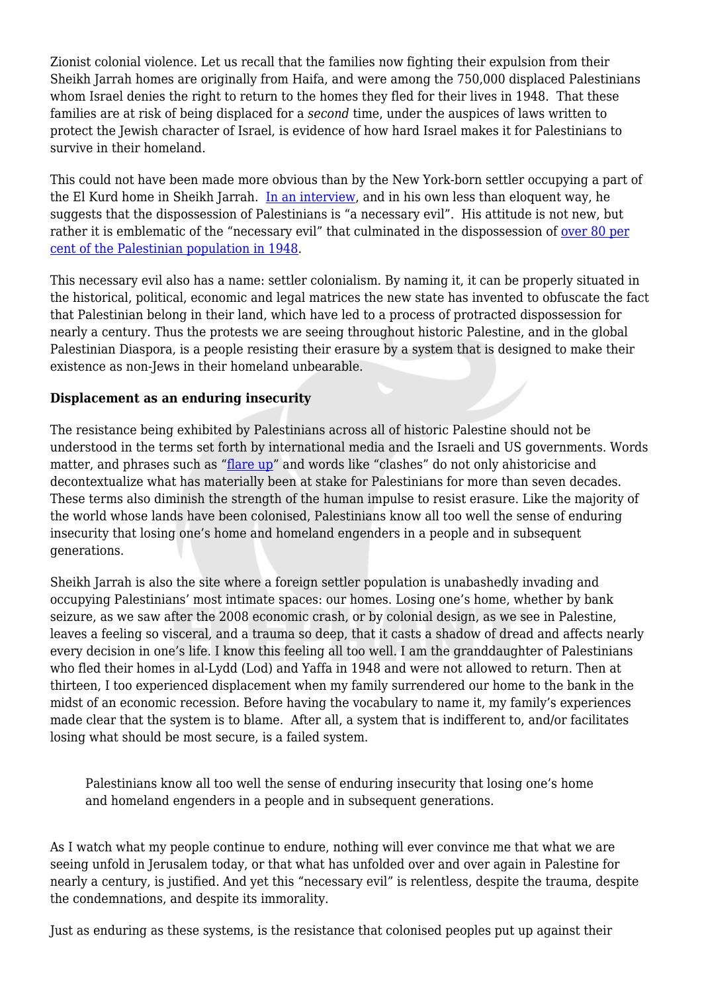Zionist colonial violence. Let us recall that the families now fighting their expulsion from their Sheikh Jarrah homes are originally from Haifa, and were among the 750,000 displaced Palestinians whom Israel denies the right to return to the homes they fled for their lives in 1948. That these families are at risk of being displaced for a *second* time, under the auspices of laws written to protect the Jewish character of Israel, is evidence of how hard Israel makes it for Palestinians to survive in their homeland.

This could not have been made more obvious than by the New York-born settler occupying a part of the El Kurd home in Sheikh Jarrah. [In an interview,](https://www.instagram.com/p/CPO0g4igijB/) and in his own less than eloquent way, he suggests that the dispossession of Palestinians is "a necessary evil". His attitude is not new, but rather it is emblematic of the "necessary evil" that culminated in the dispossession of <u>[over 80 per](https://interactive.aljazeera.com/aje/palestineremix/maps_main.html#:~:text=VANISHING%20PALESTINE&text=Over%2080%20percent%20of%20Palestinians,and%20it%20still%20continues%20today.)</u> [cent of the Palestinian population in 1948.](https://interactive.aljazeera.com/aje/palestineremix/maps_main.html#:~:text=VANISHING%20PALESTINE&text=Over%2080%20percent%20of%20Palestinians,and%20it%20still%20continues%20today.)

This necessary evil also has a name: settler colonialism. By naming it, it can be properly situated in the historical, political, economic and legal matrices the new state has invented to obfuscate the fact that Palestinian belong in their land, which have led to a process of protracted dispossession for nearly a century. Thus the protests we are seeing throughout historic Palestine, and in the global Palestinian Diaspora, is a people resisting their erasure by a system that is designed to make their existence as non-Jews in their homeland unbearable.

## **Displacement as an enduring insecurity**

The resistance being exhibited by Palestinians across all of historic Palestine should not be understood in the terms set forth by international media and the Israeli and US governments. Words matter, and phrases such as "[flare up"](https://www.nytimes.com/2021/05/11/us/politics/biden-israel-palestinians.html) and words like "clashes" do not only ahistoricise and decontextualize what has materially been at stake for Palestinians for more than seven decades. These terms also diminish the strength of the human impulse to resist erasure. Like the majority of the world whose lands have been colonised, Palestinians know all too well the sense of enduring insecurity that losing one's home and homeland engenders in a people and in subsequent generations.

Sheikh Jarrah is also the site where a foreign settler population is unabashedly invading and occupying Palestinians' most intimate spaces: our homes. Losing one's home, whether by bank seizure, as we saw after the 2008 economic crash, or by colonial design, as we see in Palestine, leaves a feeling so visceral, and a trauma so deep, that it casts a shadow of dread and affects nearly every decision in one's life. I know this feeling all too well. I am the granddaughter of Palestinians who fled their homes in al-Lydd (Lod) and Yaffa in 1948 and were not allowed to return. Then at thirteen, I too experienced displacement when my family surrendered our home to the bank in the midst of an economic recession. Before having the vocabulary to name it, my family's experiences made clear that the system is to blame. After all, a system that is indifferent to, and/or facilitates losing what should be most secure, is a failed system.

Palestinians know all too well the sense of enduring insecurity that losing one's home and homeland engenders in a people and in subsequent generations.

As I watch what my people continue to endure, nothing will ever convince me that what we are seeing unfold in Jerusalem today, or that what has unfolded over and over again in Palestine for nearly a century, is justified. And yet this "necessary evil" is relentless, despite the trauma, despite the condemnations, and despite its immorality.

Just as enduring as these systems, is the resistance that colonised peoples put up against their